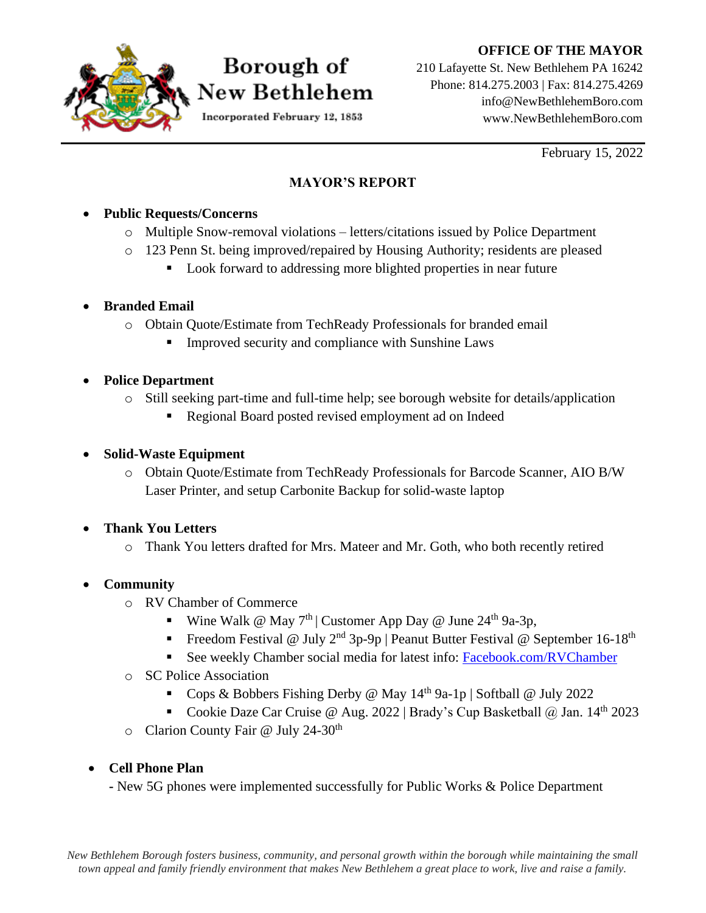#### **OFFICE OF THE MAYOR**



# Borough of New Bethlehem

Incorporated February 12, 1853

210 Lafayette St. New Bethlehem PA 16242 Phone: 814.275.2003 | Fax: 814.275.4269 info@NewBethlehemBoro.com www.NewBethlehemBoro.com

February 15, 2022

#### **MAYOR'S REPORT**

#### • **Public Requests/Concerns**

- o Multiple Snow-removal violations letters/citations issued by Police Department
- o 123 Penn St. being improved/repaired by Housing Authority; residents are pleased
	- Look forward to addressing more blighted properties in near future

#### • **Branded Email**

- o Obtain Quote/Estimate from TechReady Professionals for branded email
	- Improved security and compliance with Sunshine Laws

## • **Police Department**

- o Still seeking part-time and full-time help; see borough website for details/application
	- Regional Board posted revised employment ad on Indeed

## • **Solid-Waste Equipment**

o Obtain Quote/Estimate from TechReady Professionals for Barcode Scanner, AIO B/W Laser Printer, and setup Carbonite Backup for solid-waste laptop

## • **Thank You Letters**

o Thank You letters drafted for Mrs. Mateer and Mr. Goth, who both recently retired

## • **Community**

- o RV Chamber of Commerce
	- Wine Walk @ May  $7<sup>th</sup>$  | Customer App Day @ June 24<sup>th</sup> 9a-3p,
	- **•** Freedom Festival @ July  $2^{nd}$  3p-9p | Peanut Butter Festival @ September 16-18<sup>th</sup>
	- **Example 1** See weekly Chamber social media for latest info: Facebook.com/RVChamber
- o SC Police Association
	- Cops & Bobbers Fishing Derby @ May  $14<sup>th</sup>$  9a-1p | Softball @ July 2022
	- Cookie Daze Car Cruise @ Aug. 2022 | Brady's Cup Basketball @ Jan.  $14<sup>th</sup>$  2023
- o Clarion County Fair @ July 24-30<sup>th</sup>

## • **Cell Phone Plan**

**-** New 5G phones were implemented successfully for Public Works & Police Department